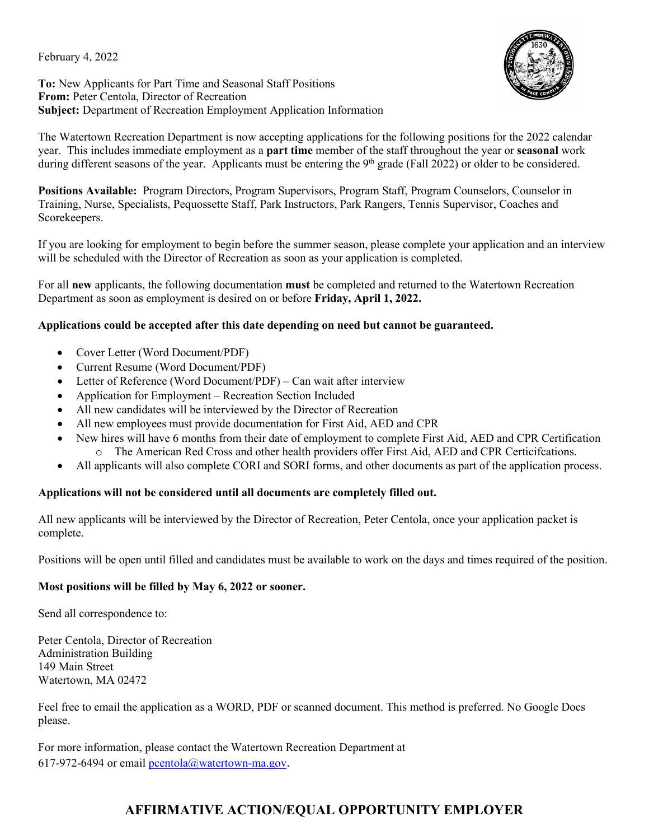February 4, 2022



**To:** New Applicants for Part Time and Seasonal Staff Positions **From:** Peter Centola, Director of Recreation **Subject:** Department of Recreation Employment Application Information

The Watertown Recreation Department is now accepting applications for the following positions for the 2022 calendar year. This includes immediate employment as a **part time** member of the staff throughout the year or **seasonal** work during different seasons of the year. Applicants must be entering the  $9<sup>th</sup>$  grade (Fall 2022) or older to be considered.

**Positions Available:** Program Directors, Program Supervisors, Program Staff, Program Counselors, Counselor in Training, Nurse, Specialists, Pequossette Staff, Park Instructors, Park Rangers, Tennis Supervisor, Coaches and Scorekeepers.

If you are looking for employment to begin before the summer season, please complete your application and an interview will be scheduled with the Director of Recreation as soon as your application is completed.

For all **new** applicants, the following documentation **must** be completed and returned to the Watertown Recreation Department as soon as employment is desired on or before **Friday, April 1, 2022.**

### **Applications could be accepted after this date depending on need but cannot be guaranteed.**

- Cover Letter (Word Document/PDF)
- Current Resume (Word Document/PDF)
- Letter of Reference (Word Document/PDF) Can wait after interview
- Application for Employment Recreation Section Included
- All new candidates will be interviewed by the Director of Recreation
- All new employees must provide documentation for First Aid, AED and CPR
- New hires will have 6 months from their date of employment to complete First Aid, AED and CPR Certification o The American Red Cross and other health providers offer First Aid, AED and CPR Certicifcations.
- All applicants will also complete CORI and SORI forms, and other documents as part of the application process.

### **Applications will not be considered until all documents are completely filled out.**

All new applicants will be interviewed by the Director of Recreation, Peter Centola, once your application packet is complete.

Positions will be open until filled and candidates must be available to work on the days and times required of the position.

### **Most positions will be filled by May 6, 2022 or sooner.**

Send all correspondence to:

Peter Centola, Director of Recreation Administration Building 149 Main Street Watertown, MA 02472

Feel free to email the application as a WORD, PDF or scanned document. This method is preferred. No Google Docs please.

For more information, please contact the Watertown Recreation Department at 617-972-6494 or email **pcentola@watertown-ma.gov**.

## **AFFIRMATIVE ACTION/EQUAL OPPORTUNITY EMPLOYER**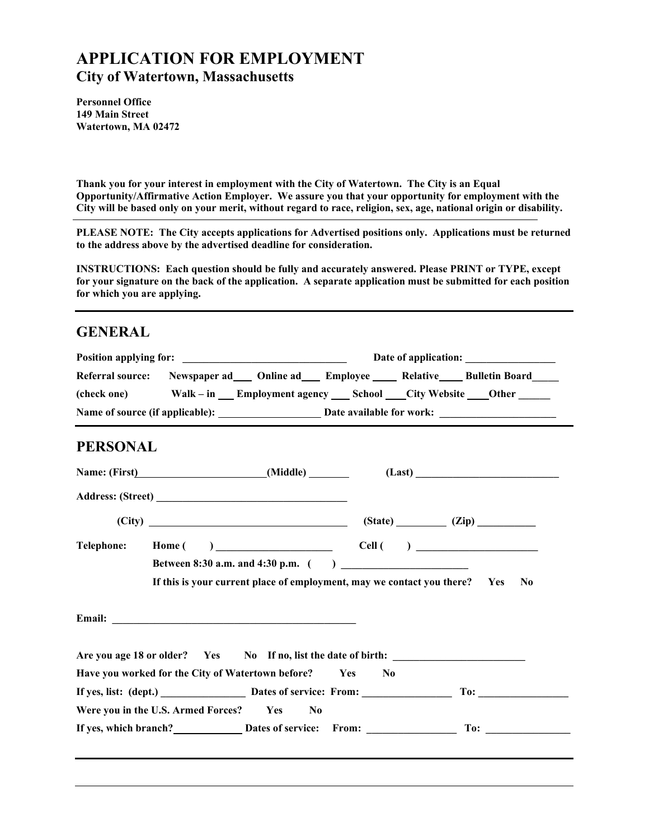# **APPLICATION FOR EMPLOYMENT City of Watertown, Massachusetts**

**Personnel Office 149 Main Street Watertown, MA 02472**

**Thank you for your interest in employment with the City of Watertown. The City is an Equal Opportunity/Affirmative Action Employer. We assure you that your opportunity for employment with the City will be based only on your merit, without regard to race, religion, sex, age, national origin or disability.**

**PLEASE NOTE: The City accepts applications for Advertised positions only. Applications must be returned to the address above by the advertised deadline for consideration.**

**INSTRUCTIONS: Each question should be fully and accurately answered. Please PRINT or TYPE, except for your signature on the back of the application. A separate application must be submitted for each position for which you are applying.**

## **GENERAL**

|                   |                                                                                                                                                                                                                                | Referral source: Newspaper ad ___ Online ad ___ Employee ____ Relative ___ Bulletin Board                         |                |
|-------------------|--------------------------------------------------------------------------------------------------------------------------------------------------------------------------------------------------------------------------------|-------------------------------------------------------------------------------------------------------------------|----------------|
|                   |                                                                                                                                                                                                                                | (check one) Walk – in ___ Employment agency ____ School ____City Website _____Other _______                       |                |
|                   |                                                                                                                                                                                                                                |                                                                                                                   |                |
| <b>PERSONAL</b>   |                                                                                                                                                                                                                                |                                                                                                                   |                |
|                   |                                                                                                                                                                                                                                | Name: (First) (Middle) (Middle) (Last) (Last)                                                                     |                |
|                   | Address: (Street)                                                                                                                                                                                                              |                                                                                                                   |                |
|                   |                                                                                                                                                                                                                                | $(City)$ $(Zip)$                                                                                                  |                |
| <b>Telephone:</b> |                                                                                                                                                                                                                                | $\text{Home}\left(\begin{array}{ccc} \end{array}\right)$ $\text{Cell}\left(\begin{array}{ccc} \end{array}\right)$ |                |
|                   |                                                                                                                                                                                                                                |                                                                                                                   |                |
|                   |                                                                                                                                                                                                                                |                                                                                                                   |                |
|                   |                                                                                                                                                                                                                                | If this is your current place of employment, may we contact you there? Yes                                        | N <sub>0</sub> |
|                   |                                                                                                                                                                                                                                |                                                                                                                   |                |
|                   | Email: The contract of the contract of the contract of the contract of the contract of the contract of the contract of the contract of the contract of the contract of the contract of the contract of the contract of the con |                                                                                                                   |                |
|                   |                                                                                                                                                                                                                                |                                                                                                                   |                |
|                   |                                                                                                                                                                                                                                | Are you age 18 or older? Yes No If no, list the date of birth:                                                    |                |
|                   | Have you worked for the City of Watertown before? Yes                                                                                                                                                                          | N <sub>0</sub>                                                                                                    |                |
|                   | Were you in the U.S. Armed Forces? Yes<br>$\bf No$                                                                                                                                                                             | If yes, list: (dept.) <b>Dates of service:</b> From: To: To: To: To:                                              |                |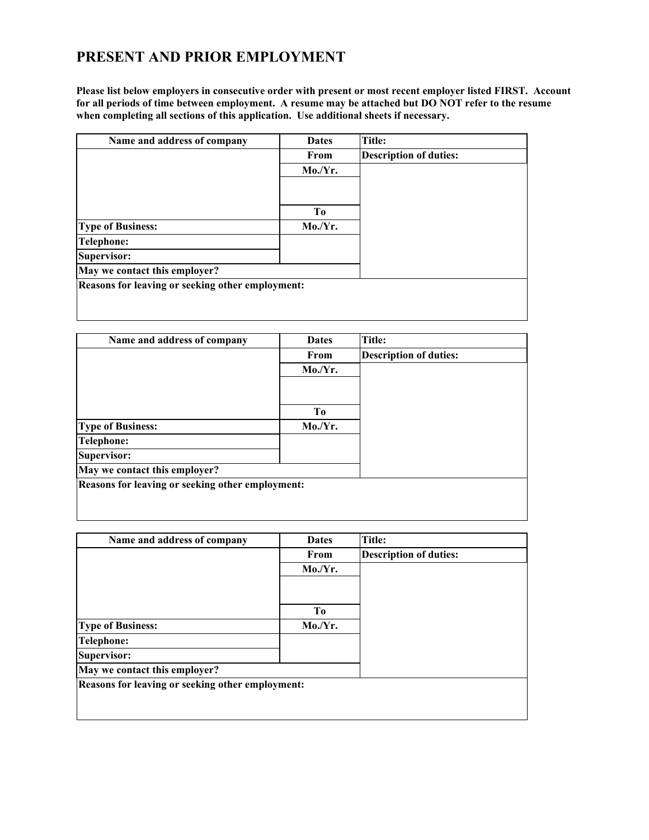# **PRESENT AND PRIOR EMPLOYMENT**

**Please list below employers in consecutive order with present or most recent employer listed FIRST. Account for all periods of time between employment. A resume may be attached but DO NOT refer to the resume when completing all sections of this application. Use additional sheets if necessary.**

| Name and address of company                      | <b>Dates</b>   | Title:                        |
|--------------------------------------------------|----------------|-------------------------------|
|                                                  | From           | <b>Description of duties:</b> |
|                                                  | Mo/Yr.         |                               |
|                                                  |                |                               |
|                                                  | T <sub>0</sub> |                               |
| <b>Type of Business:</b>                         | Mo/Yr.         |                               |
| <b>Telephone:</b>                                |                |                               |
| Supervisor:                                      |                |                               |
| May we contact this employer?                    |                |                               |
| Reasons for leaving or seeking other employment: |                |                               |
|                                                  |                |                               |
|                                                  |                |                               |

| Name and address of company                      | <b>Dates</b> | Title:                        |
|--------------------------------------------------|--------------|-------------------------------|
|                                                  | From         | <b>Description of duties:</b> |
|                                                  | Mo/Yr.       |                               |
|                                                  |              |                               |
|                                                  | To           |                               |
| <b>Type of Business:</b>                         | Mo/Yr.       |                               |
| Telephone:                                       |              |                               |
| Supervisor:                                      |              |                               |
| May we contact this employer?                    |              |                               |
| Reasons for leaving or seeking other employment: |              |                               |
|                                                  |              |                               |
|                                                  |              |                               |

| Name and address of company                      | <b>Dates</b>   | Title:                        |
|--------------------------------------------------|----------------|-------------------------------|
|                                                  | From           | <b>Description of duties:</b> |
|                                                  | Mo/Yr.         |                               |
|                                                  |                |                               |
|                                                  | T <sub>0</sub> |                               |
|                                                  |                |                               |
| <b>Type of Business:</b>                         | Mo/Yr.         |                               |
| Telephone:                                       |                |                               |
| Supervisor:                                      |                |                               |
| May we contact this employer?                    |                |                               |
| Reasons for leaving or seeking other employment: |                |                               |
|                                                  |                |                               |
|                                                  |                |                               |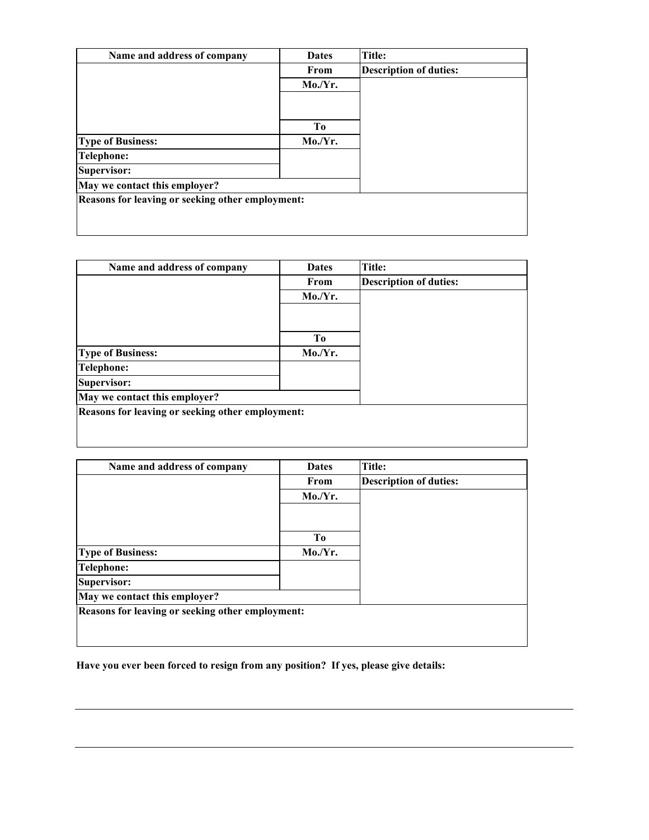| Name and address of company                      | <b>Dates</b>   | Title:                        |
|--------------------------------------------------|----------------|-------------------------------|
|                                                  | From           | <b>Description of duties:</b> |
|                                                  | Mo/Yr.         |                               |
|                                                  |                |                               |
|                                                  | T <sub>0</sub> |                               |
| <b>Type of Business:</b>                         | Mo/Yr.         |                               |
| <b>Telephone:</b>                                |                |                               |
| Supervisor:                                      |                |                               |
| May we contact this employer?                    |                |                               |
| Reasons for leaving or seeking other employment: |                |                               |
|                                                  |                |                               |
|                                                  |                |                               |

| Name and address of company                      | <b>Dates</b> | <b>Title:</b>                 |
|--------------------------------------------------|--------------|-------------------------------|
|                                                  | From         | <b>Description of duties:</b> |
|                                                  | Mo/Yr.       |                               |
|                                                  |              |                               |
|                                                  | To           |                               |
| <b>Type of Business:</b>                         | Mo/Yr.       |                               |
| <b>Telephone:</b>                                |              |                               |
| Supervisor:                                      |              |                               |
| May we contact this employer?                    |              |                               |
| Reasons for leaving or seeking other employment: |              |                               |
|                                                  |              |                               |
|                                                  |              |                               |

| Name and address of company                      | <b>Dates</b> | Title:                        |
|--------------------------------------------------|--------------|-------------------------------|
|                                                  | From         | <b>Description of duties:</b> |
|                                                  | Mo/Yr.       |                               |
|                                                  |              |                               |
|                                                  | To           |                               |
| <b>Type of Business:</b>                         | Mo/Yr.       |                               |
| <b>Telephone:</b>                                |              |                               |
| Supervisor:                                      |              |                               |
| May we contact this employer?                    |              |                               |
| Reasons for leaving or seeking other employment: |              |                               |
|                                                  |              |                               |

**Have you ever been forced to resign from any position? If yes, please give details:**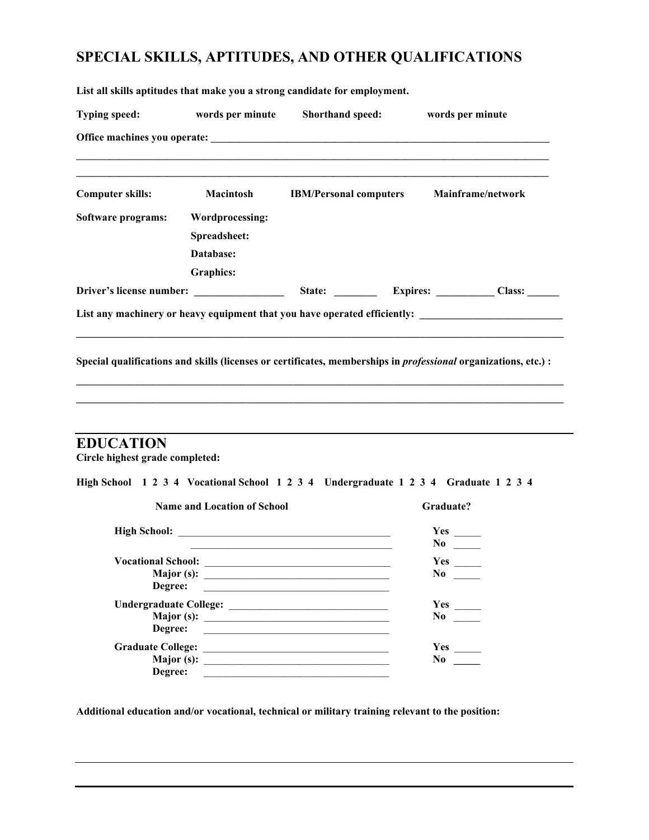# **SPECIAL SKILLS, APTITUDES, AND OTHER QUALIFICATIONS**

**List all skills aptitudes that make you a strong candidate for employment.**

| <b>Typing speed:</b>    | words per minute       | Shorthand speed: | words per minute                                                                                                       |  |
|-------------------------|------------------------|------------------|------------------------------------------------------------------------------------------------------------------------|--|
|                         |                        |                  |                                                                                                                        |  |
| <b>Computer skills:</b> | <b>Macintosh</b>       |                  | <b>IBM/Personal computers Mainframe/network</b>                                                                        |  |
| Software programs:      | <b>Wordprocessing:</b> |                  |                                                                                                                        |  |
|                         | Spreadsheet:           |                  |                                                                                                                        |  |
|                         | Database:              |                  |                                                                                                                        |  |
|                         | <b>Graphics:</b>       |                  |                                                                                                                        |  |
|                         |                        |                  |                                                                                                                        |  |
|                         |                        |                  | List any machinery or heavy equipment that you have operated efficiently: __________________________                   |  |
|                         |                        |                  |                                                                                                                        |  |
|                         |                        |                  | Special qualifications and skills (licenses or certificates, memberships in <i>professional</i> organizations, etc.) : |  |
|                         |                        |                  |                                                                                                                        |  |
|                         |                        |                  |                                                                                                                        |  |
| <b>EDUCATION</b>        |                        |                  |                                                                                                                        |  |

**Circle highest grade completed:**

|  |  |  | High School 1 2 3 4 Vocational School 1 2 3 4 Undergraduate 1 2 3 4 Graduate 1 2 3 4 |  |  |  |  |  |  |  |  |  |  |
|--|--|--|--------------------------------------------------------------------------------------|--|--|--|--|--|--|--|--|--|--|
|--|--|--|--------------------------------------------------------------------------------------|--|--|--|--|--|--|--|--|--|--|

| <b>Name and Location of School</b> | Graduate?      |
|------------------------------------|----------------|
|                                    | <b>Yes</b>     |
|                                    | No.            |
| <b>Vocational School:</b>          |                |
| Major (s): $\qquad \qquad$         | No.            |
| Degree:                            |                |
| <b>Undergraduate College:</b>      | Yes            |
| Major (s): $\qquad \qquad$         | N <sub>0</sub> |
| Degree:                            |                |
|                                    | Yes            |
|                                    | No.            |
| Degree:                            |                |

**Additional education and/or vocational, technical or military training relevant to the position:**